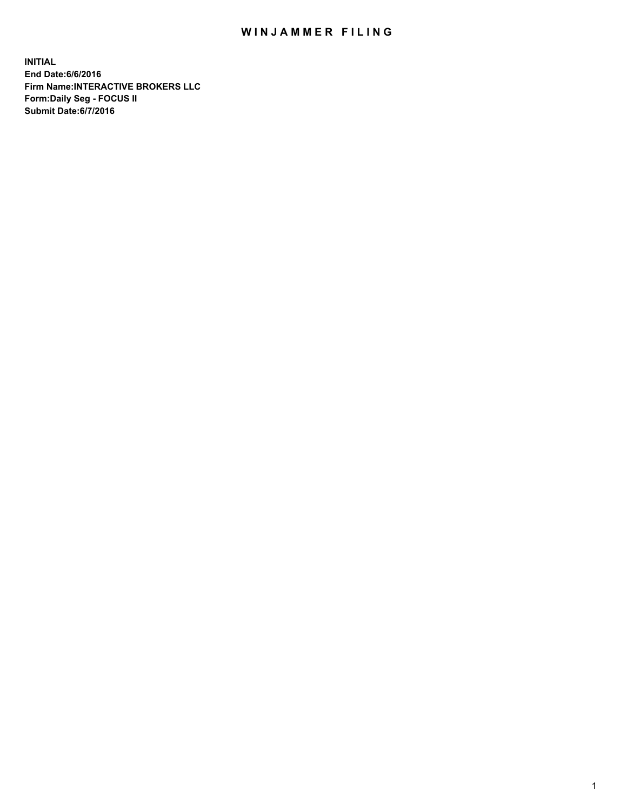## WIN JAMMER FILING

**INITIAL End Date:6/6/2016 Firm Name:INTERACTIVE BROKERS LLC Form:Daily Seg - FOCUS II Submit Date:6/7/2016**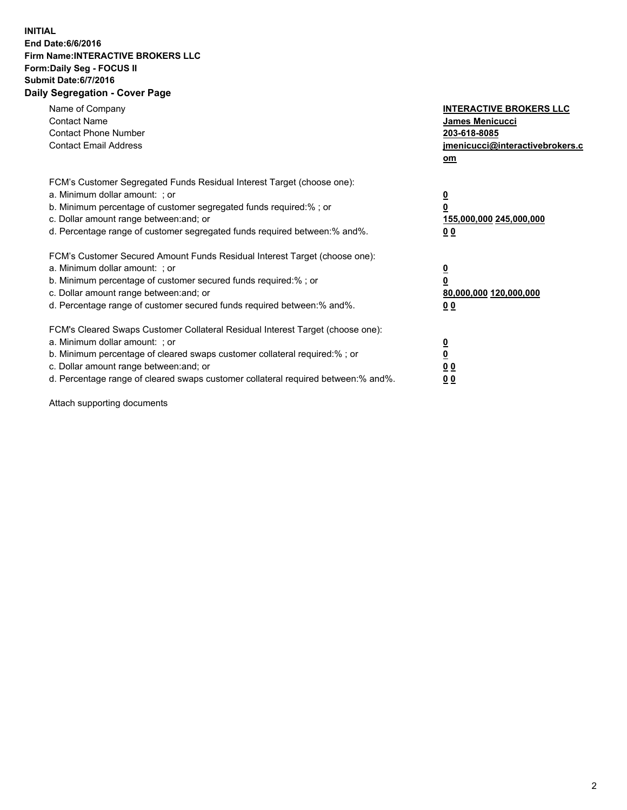## **INITIAL End Date:6/6/2016 Firm Name:INTERACTIVE BROKERS LLC Form:Daily Seg - FOCUS II Submit Date:6/7/2016 Daily Segregation - Cover Page**

| Name of Company<br><b>Contact Name</b><br><b>Contact Phone Number</b><br><b>Contact Email Address</b>                                                                                                                                                                                                                          | <b>INTERACTIVE BROKERS LLC</b><br><b>James Menicucci</b><br>203-618-8085<br>jmenicucci@interactivebrokers.c<br>om |
|--------------------------------------------------------------------------------------------------------------------------------------------------------------------------------------------------------------------------------------------------------------------------------------------------------------------------------|-------------------------------------------------------------------------------------------------------------------|
| FCM's Customer Segregated Funds Residual Interest Target (choose one):<br>a. Minimum dollar amount: ; or<br>b. Minimum percentage of customer segregated funds required:% ; or<br>c. Dollar amount range between: and; or<br>d. Percentage range of customer segregated funds required between:% and%.                         | $\overline{\mathbf{0}}$<br>0<br>155,000,000 245,000,000<br>0 <sub>0</sub>                                         |
| FCM's Customer Secured Amount Funds Residual Interest Target (choose one):<br>a. Minimum dollar amount: ; or<br>b. Minimum percentage of customer secured funds required:%; or<br>c. Dollar amount range between: and; or<br>d. Percentage range of customer secured funds required between: % and %.                          | $\overline{\mathbf{0}}$<br>$\overline{\mathbf{0}}$<br>80,000,000 120,000,000<br>00                                |
| FCM's Cleared Swaps Customer Collateral Residual Interest Target (choose one):<br>a. Minimum dollar amount: ; or<br>b. Minimum percentage of cleared swaps customer collateral required:% ; or<br>c. Dollar amount range between: and; or<br>d. Percentage range of cleared swaps customer collateral required between:% and%. | $\overline{\mathbf{0}}$<br>$\overline{\mathbf{0}}$<br>0 <sub>0</sub><br>0 <sub>0</sub>                            |

Attach supporting documents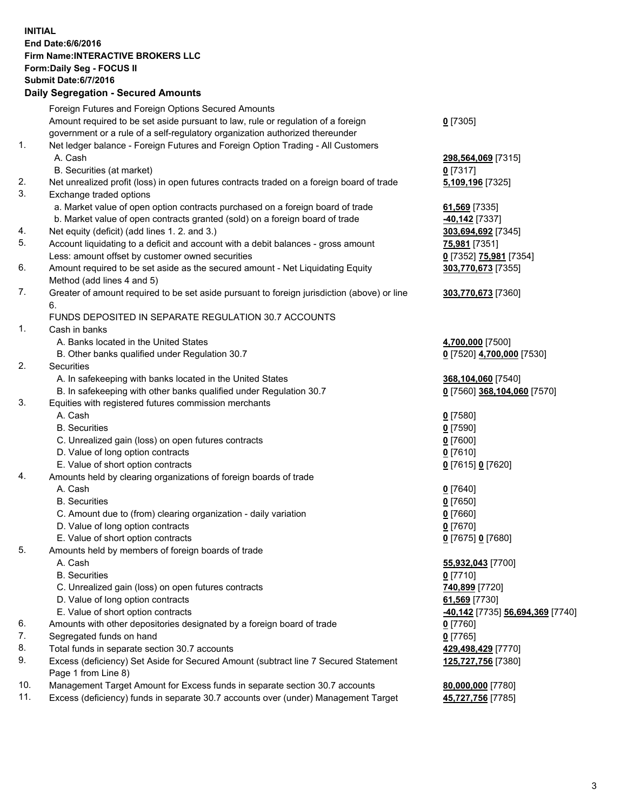## **INITIAL End Date:6/6/2016 Firm Name:INTERACTIVE BROKERS LLC Form:Daily Seg - FOCUS II Submit Date:6/7/2016 Daily Segregation - Secured Amounts**

|     | Foreign Futures and Foreign Options Secured Amounts                                         |                                  |
|-----|---------------------------------------------------------------------------------------------|----------------------------------|
|     | Amount required to be set aside pursuant to law, rule or regulation of a foreign            | $0$ [7305]                       |
|     | government or a rule of a self-regulatory organization authorized thereunder                |                                  |
| 1.  | Net ledger balance - Foreign Futures and Foreign Option Trading - All Customers             |                                  |
|     | A. Cash                                                                                     | 298,564,069 [7315]               |
|     | B. Securities (at market)                                                                   | $0$ [7317]                       |
| 2.  | Net unrealized profit (loss) in open futures contracts traded on a foreign board of trade   | 5,109,196 [7325]                 |
| 3.  | Exchange traded options                                                                     |                                  |
|     | a. Market value of open option contracts purchased on a foreign board of trade              | 61,569 [7335]                    |
|     | b. Market value of open contracts granted (sold) on a foreign board of trade                | -40,142 [7337]                   |
| 4.  | Net equity (deficit) (add lines 1.2. and 3.)                                                | 303,694,692 [7345]               |
| 5.  | Account liquidating to a deficit and account with a debit balances - gross amount           | 75,981 [7351]                    |
|     | Less: amount offset by customer owned securities                                            | 0 [7352] 75,981 [7354]           |
| 6.  | Amount required to be set aside as the secured amount - Net Liquidating Equity              | 303,770,673 [7355]               |
|     | Method (add lines 4 and 5)                                                                  |                                  |
| 7.  | Greater of amount required to be set aside pursuant to foreign jurisdiction (above) or line | 303,770,673 [7360]               |
|     | 6.                                                                                          |                                  |
|     | FUNDS DEPOSITED IN SEPARATE REGULATION 30.7 ACCOUNTS                                        |                                  |
| 1.  | Cash in banks                                                                               |                                  |
|     | A. Banks located in the United States                                                       | 4,700,000 [7500]                 |
|     | B. Other banks qualified under Regulation 30.7                                              | 0 [7520] 4,700,000 [7530]        |
| 2.  | Securities                                                                                  |                                  |
|     | A. In safekeeping with banks located in the United States                                   | 368,104,060 [7540]               |
|     | B. In safekeeping with other banks qualified under Regulation 30.7                          | 0 [7560] 368,104,060 [7570]      |
| 3.  | Equities with registered futures commission merchants                                       |                                  |
|     | A. Cash                                                                                     | $0$ [7580]                       |
|     | <b>B.</b> Securities                                                                        | $0$ [7590]                       |
|     | C. Unrealized gain (loss) on open futures contracts                                         | $0$ [7600]                       |
|     | D. Value of long option contracts                                                           | $0$ [7610]                       |
|     | E. Value of short option contracts                                                          | 0 [7615] 0 [7620]                |
| 4.  | Amounts held by clearing organizations of foreign boards of trade                           |                                  |
|     | A. Cash                                                                                     | $0$ [7640]                       |
|     | <b>B.</b> Securities                                                                        | $0$ [7650]                       |
|     | C. Amount due to (from) clearing organization - daily variation                             | $0$ [7660]                       |
|     | D. Value of long option contracts                                                           | $0$ [7670]                       |
|     | E. Value of short option contracts                                                          | 0 [7675] 0 [7680]                |
| 5.  | Amounts held by members of foreign boards of trade                                          |                                  |
|     | A. Cash                                                                                     | 55,932,043 [7700]                |
|     | <b>B.</b> Securities                                                                        | $0$ [7710]                       |
|     | C. Unrealized gain (loss) on open futures contracts                                         | 740,899 [7720]                   |
|     | D. Value of long option contracts                                                           | 61,569 [7730]                    |
|     | E. Value of short option contracts                                                          |                                  |
| 6.  |                                                                                             | -40,142 [7735] 56,694,369 [7740] |
|     | Amounts with other depositories designated by a foreign board of trade                      | 0 [7760]                         |
| 7.  | Segregated funds on hand                                                                    | $0$ [7765]                       |
| 8.  | Total funds in separate section 30.7 accounts                                               | 429,498,429 [7770]               |
| 9.  | Excess (deficiency) Set Aside for Secured Amount (subtract line 7 Secured Statement         | 125,727,756 [7380]               |
|     | Page 1 from Line 8)                                                                         |                                  |
| 10. | Management Target Amount for Excess funds in separate section 30.7 accounts                 | 80,000,000 [7780]                |
| 11. | Excess (deficiency) funds in separate 30.7 accounts over (under) Management Target          | 45,727,756 [7785]                |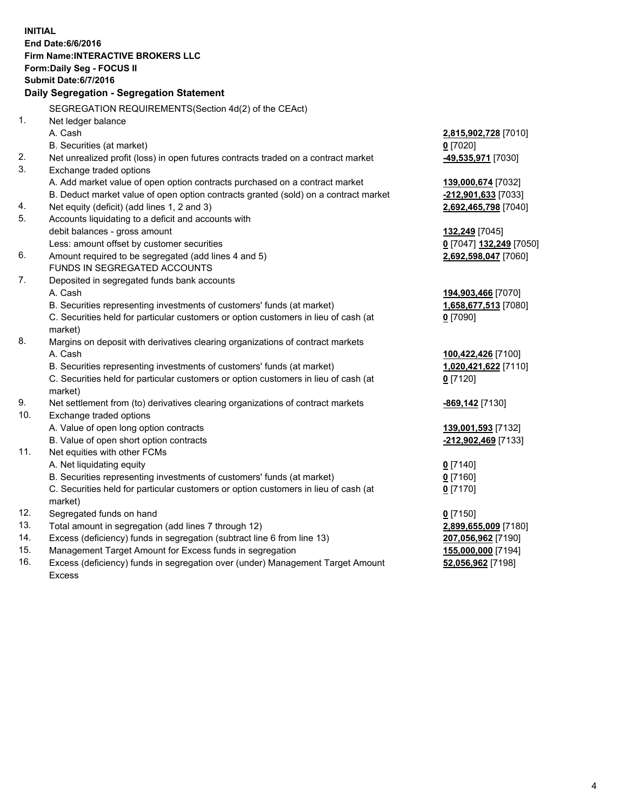**INITIAL End Date:6/6/2016 Firm Name:INTERACTIVE BROKERS LLC Form:Daily Seg - FOCUS II Submit Date:6/7/2016 Daily Segregation - Segregation Statement** SEGREGATION REQUIREMENTS(Section 4d(2) of the CEAct) 1. Net ledger balance A. Cash **2,815,902,728** [7010] B. Securities (at market) **0** [7020] 2. Net unrealized profit (loss) in open futures contracts traded on a contract market **-49,535,971** [7030] 3. Exchange traded options A. Add market value of open option contracts purchased on a contract market **139,000,674** [7032] B. Deduct market value of open option contracts granted (sold) on a contract market **-212,901,633** [7033] 4. Net equity (deficit) (add lines 1, 2 and 3) **2,692,465,798** [7040] 5. Accounts liquidating to a deficit and accounts with debit balances - gross amount **132,249** [7045] Less: amount offset by customer securities **0** [7047] **132,249** [7050] 6. Amount required to be segregated (add lines 4 and 5) **2,692,598,047** [7060] FUNDS IN SEGREGATED ACCOUNTS 7. Deposited in segregated funds bank accounts A. Cash **194,903,466** [7070] B. Securities representing investments of customers' funds (at market) **1,658,677,513** [7080] C. Securities held for particular customers or option customers in lieu of cash (at market) **0** [7090] 8. Margins on deposit with derivatives clearing organizations of contract markets A. Cash **100,422,426** [7100] B. Securities representing investments of customers' funds (at market) **1,020,421,622** [7110] C. Securities held for particular customers or option customers in lieu of cash (at market) **0** [7120] 9. Net settlement from (to) derivatives clearing organizations of contract markets **-869,142** [7130] 10. Exchange traded options A. Value of open long option contracts **139,001,593** [7132] B. Value of open short option contracts **-212,902,469** [7133] 11. Net equities with other FCMs A. Net liquidating equity **0** [7140] B. Securities representing investments of customers' funds (at market) **0** [7160] C. Securities held for particular customers or option customers in lieu of cash (at market) **0** [7170] 12. Segregated funds on hand **0** [7150] 13. Total amount in segregation (add lines 7 through 12) **2,899,655,009** [7180] 14. Excess (deficiency) funds in segregation (subtract line 6 from line 13) **207,056,962** [7190] 15. Management Target Amount for Excess funds in segregation **155,000,000** [7194] 16. Excess (deficiency) funds in segregation over (under) Management Target Amount **52,056,962** [7198]

Excess